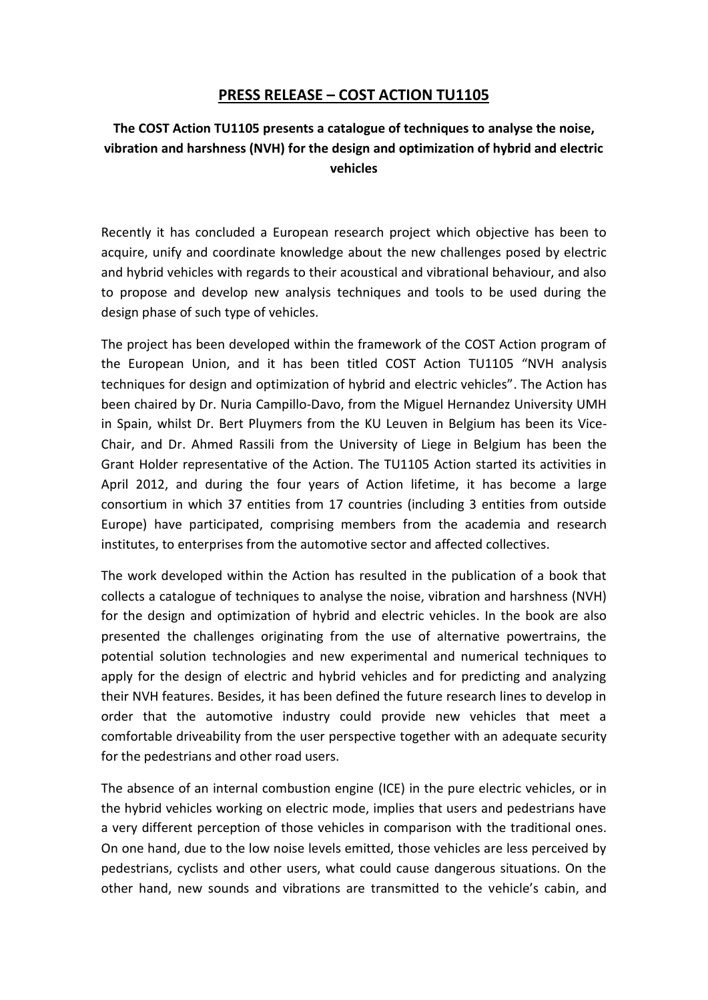## **PRESS RELEASE – COST ACTION TU1105**

## **The COST Action TU1105 presents a catalogue of techniques to analyse the noise, vibration and harshness (NVH) for the design and optimization of hybrid and electric vehicles**

Recently it has concluded a European research project which objective has been to acquire, unify and coordinate knowledge about the new challenges posed by electric and hybrid vehicles with regards to their acoustical and vibrational behaviour, and also to propose and develop new analysis techniques and tools to be used during the design phase of such type of vehicles.

The project has been developed within the framework of the COST Action program of the European Union, and it has been titled COST Action TU1105 "NVH analysis techniques for design and optimization of hybrid and electric vehicles". The Action has been chaired by Dr. Nuria Campillo-Davo, from the Miguel Hernandez University UMH in Spain, whilst Dr. Bert Pluymers from the KU Leuven in Belgium has been its Vice-Chair, and Dr. Ahmed Rassili from the University of Liege in Belgium has been the Grant Holder representative of the Action. The TU1105 Action started its activities in April 2012, and during the four years of Action lifetime, it has become a large consortium in which 37 entities from 17 countries (including 3 entities from outside Europe) have participated, comprising members from the academia and research institutes, to enterprises from the automotive sector and affected collectives.

The work developed within the Action has resulted in the publication of a book that collects a catalogue of techniques to analyse the noise, vibration and harshness (NVH) for the design and optimization of hybrid and electric vehicles. In the book are also presented the challenges originating from the use of alternative powertrains, the potential solution technologies and new experimental and numerical techniques to apply for the design of electric and hybrid vehicles and for predicting and analyzing their NVH features. Besides, it has been defined the future research lines to develop in order that the automotive industry could provide new vehicles that meet a comfortable driveability from the user perspective together with an adequate security for the pedestrians and other road users.

The absence of an internal combustion engine (ICE) in the pure electric vehicles, or in the hybrid vehicles working on electric mode, implies that users and pedestrians have a very different perception of those vehicles in comparison with the traditional ones. On one hand, due to the low noise levels emitted, those vehicles are less perceived by pedestrians, cyclists and other users, what could cause dangerous situations. On the other hand, new sounds and vibrations are transmitted to the vehicle's cabin, and